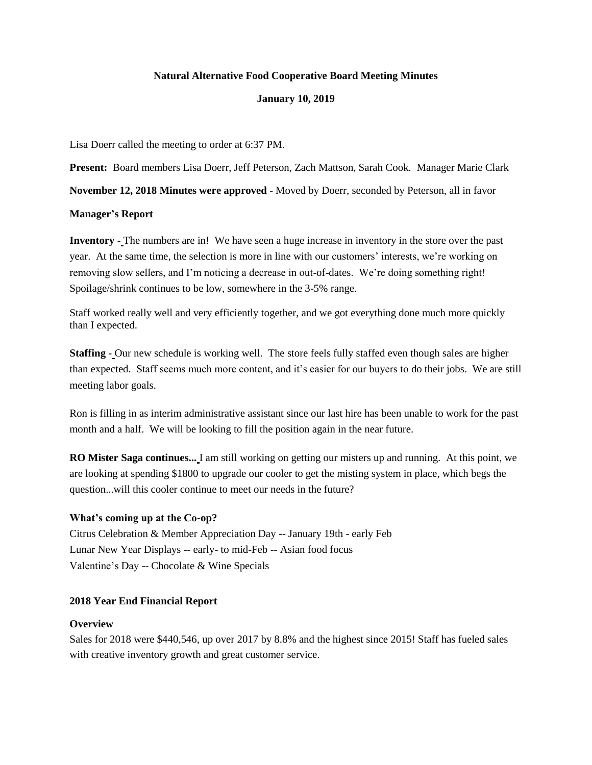## **Natural Alternative Food Cooperative Board Meeting Minutes**

## **January 10, 2019**

Lisa Doerr called the meeting to order at 6:37 PM.

**Present:** Board members Lisa Doerr, Jeff Peterson, Zach Mattson, Sarah Cook. Manager Marie Clark

**November 12, 2018 Minutes were approved** - Moved by Doerr, seconded by Peterson, all in favor

## **Manager's Report**

**Inventory -** The numbers are in! We have seen a huge increase in inventory in the store over the past year. At the same time, the selection is more in line with our customers' interests, we're working on removing slow sellers, and I'm noticing a decrease in out-of-dates. We're doing something right! Spoilage/shrink continues to be low, somewhere in the 3-5% range.

Staff worked really well and very efficiently together, and we got everything done much more quickly than I expected.

**Staffing -** Our new schedule is working well. The store feels fully staffed even though sales are higher than expected. Staff seems much more content, and it's easier for our buyers to do their jobs. We are still meeting labor goals.

Ron is filling in as interim administrative assistant since our last hire has been unable to work for the past month and a half. We will be looking to fill the position again in the near future.

**RO Mister Saga continues...** I am still working on getting our misters up and running. At this point, we are looking at spending \$1800 to upgrade our cooler to get the misting system in place, which begs the question...will this cooler continue to meet our needs in the future?

# **What's coming up at the Co-op?**

Citrus Celebration & Member Appreciation Day -- January 19th - early Feb Lunar New Year Displays -- early- to mid-Feb -- Asian food focus Valentine's Day -- Chocolate & Wine Specials

# **2018 Year End Financial Report**

#### **Overview**

Sales for 2018 were \$440,546, up over 2017 by 8.8% and the highest since 2015! Staff has fueled sales with creative inventory growth and great customer service.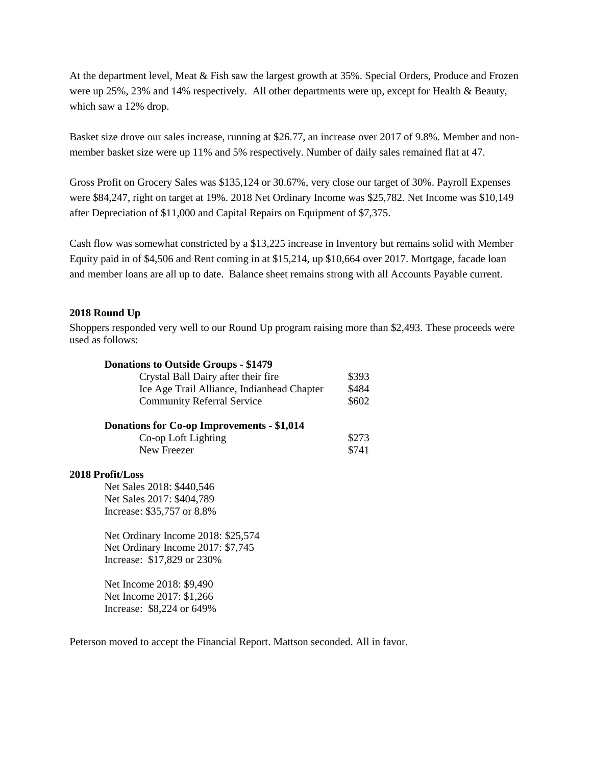At the department level, Meat & Fish saw the largest growth at 35%. Special Orders, Produce and Frozen were up 25%, 23% and 14% respectively. All other departments were up, except for Health & Beauty, which saw a 12% drop.

Basket size drove our sales increase, running at \$26.77, an increase over 2017 of 9.8%. Member and nonmember basket size were up 11% and 5% respectively. Number of daily sales remained flat at 47.

Gross Profit on Grocery Sales was \$135,124 or 30.67%, very close our target of 30%. Payroll Expenses were \$84,247, right on target at 19%. 2018 Net Ordinary Income was \$25,782. Net Income was \$10,149 after Depreciation of \$11,000 and Capital Repairs on Equipment of \$7,375.

Cash flow was somewhat constricted by a \$13,225 increase in Inventory but remains solid with Member Equity paid in of \$4,506 and Rent coming in at \$15,214, up \$10,664 over 2017. Mortgage, facade loan and member loans are all up to date. Balance sheet remains strong with all Accounts Payable current.

## **2018 Round Up**

Shoppers responded very well to our Round Up program raising more than \$2,493. These proceeds were used as follows:

| <b>Donations to Outside Groups - \$1479</b> |       |
|---------------------------------------------|-------|
| Crystal Ball Dairy after their fire         | \$393 |
| Ice Age Trail Alliance, Indianhead Chapter  | \$484 |
| <b>Community Referral Service</b>           | \$602 |
| Donations for Co-op Improvements - \$1,014  |       |
| Co-op Loft Lighting                         | \$273 |
| New Freezer                                 | \$741 |
| 2018 Profit/Loss                            |       |
| Net Sales 2018: \$440,546                   |       |
| Net Sales 2017: \$404,789                   |       |
| Increase: \$35,757 or 8.8%                  |       |

Net Ordinary Income 2018: \$25,574 Net Ordinary Income 2017: \$7,745 Increase: \$17,829 or 230%

Net Income 2018: \$9,490 Net Income 2017: \$1,266 Increase: \$8,224 or 649%

Peterson moved to accept the Financial Report. Mattson seconded. All in favor.